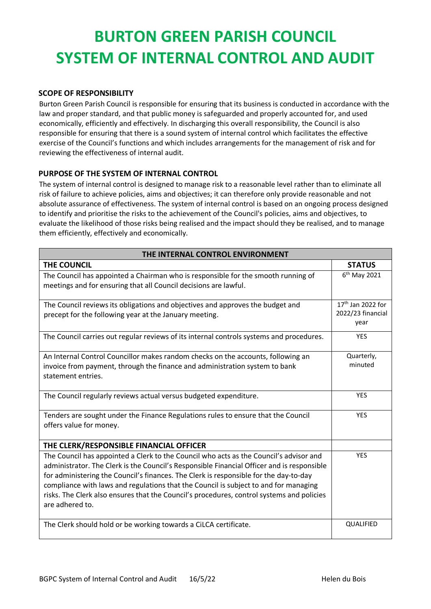## **BURTON GREEN PARISH COUNCIL SYSTEM OF INTERNAL CONTROL AND AUDIT**

## **SCOPE OF RESPONSIBILITY**

Burton Green Parish Council is responsible for ensuring that its business is conducted in accordance with the law and proper standard, and that public money is safeguarded and properly accounted for, and used economically, efficiently and effectively. In discharging this overall responsibility, the Council is also responsible for ensuring that there is a sound system of internal control which facilitates the effective exercise of the Council's functions and which includes arrangements for the management of risk and for reviewing the effectiveness of internal audit.

## **PURPOSE OF THE SYSTEM OF INTERNAL CONTROL**

The system of internal control is designed to manage risk to a reasonable level rather than to eliminate all risk of failure to achieve policies, aims and objectives; it can therefore only provide reasonable and not absolute assurance of effectiveness. The system of internal control is based on an ongoing process designed to identify and prioritise the risks to the achievement of the Council's policies, aims and objectives, to evaluate the likelihood of those risks being realised and the impact should they be realised, and to manage them efficiently, effectively and economically.

| THE INTERNAL CONTROL ENVIRONMENT                                                                                                                                                                                                                                                                                                                                                                                                                                                      |                                                |  |
|---------------------------------------------------------------------------------------------------------------------------------------------------------------------------------------------------------------------------------------------------------------------------------------------------------------------------------------------------------------------------------------------------------------------------------------------------------------------------------------|------------------------------------------------|--|
| THE COUNCIL                                                                                                                                                                                                                                                                                                                                                                                                                                                                           | <b>STATUS</b>                                  |  |
| The Council has appointed a Chairman who is responsible for the smooth running of<br>meetings and for ensuring that all Council decisions are lawful.                                                                                                                                                                                                                                                                                                                                 | 6 <sup>th</sup> May 2021                       |  |
| The Council reviews its obligations and objectives and approves the budget and<br>precept for the following year at the January meeting.                                                                                                                                                                                                                                                                                                                                              | 17th Jan 2022 for<br>2022/23 financial<br>year |  |
| The Council carries out regular reviews of its internal controls systems and procedures.                                                                                                                                                                                                                                                                                                                                                                                              | <b>YES</b>                                     |  |
| An Internal Control Councillor makes random checks on the accounts, following an<br>invoice from payment, through the finance and administration system to bank<br>statement entries.                                                                                                                                                                                                                                                                                                 | Quarterly,<br>minuted                          |  |
| The Council regularly reviews actual versus budgeted expenditure.                                                                                                                                                                                                                                                                                                                                                                                                                     | <b>YES</b>                                     |  |
| Tenders are sought under the Finance Regulations rules to ensure that the Council<br>offers value for money.                                                                                                                                                                                                                                                                                                                                                                          | <b>YES</b>                                     |  |
| THE CLERK/RESPONSIBLE FINANCIAL OFFICER                                                                                                                                                                                                                                                                                                                                                                                                                                               |                                                |  |
| The Council has appointed a Clerk to the Council who acts as the Council's advisor and<br>administrator. The Clerk is the Council's Responsible Financial Officer and is responsible<br>for administering the Council's finances. The Clerk is responsible for the day-to-day<br>compliance with laws and regulations that the Council is subject to and for managing<br>risks. The Clerk also ensures that the Council's procedures, control systems and policies<br>are adhered to. | <b>YES</b>                                     |  |
| The Clerk should hold or be working towards a CiLCA certificate.                                                                                                                                                                                                                                                                                                                                                                                                                      | QUALIFIED                                      |  |